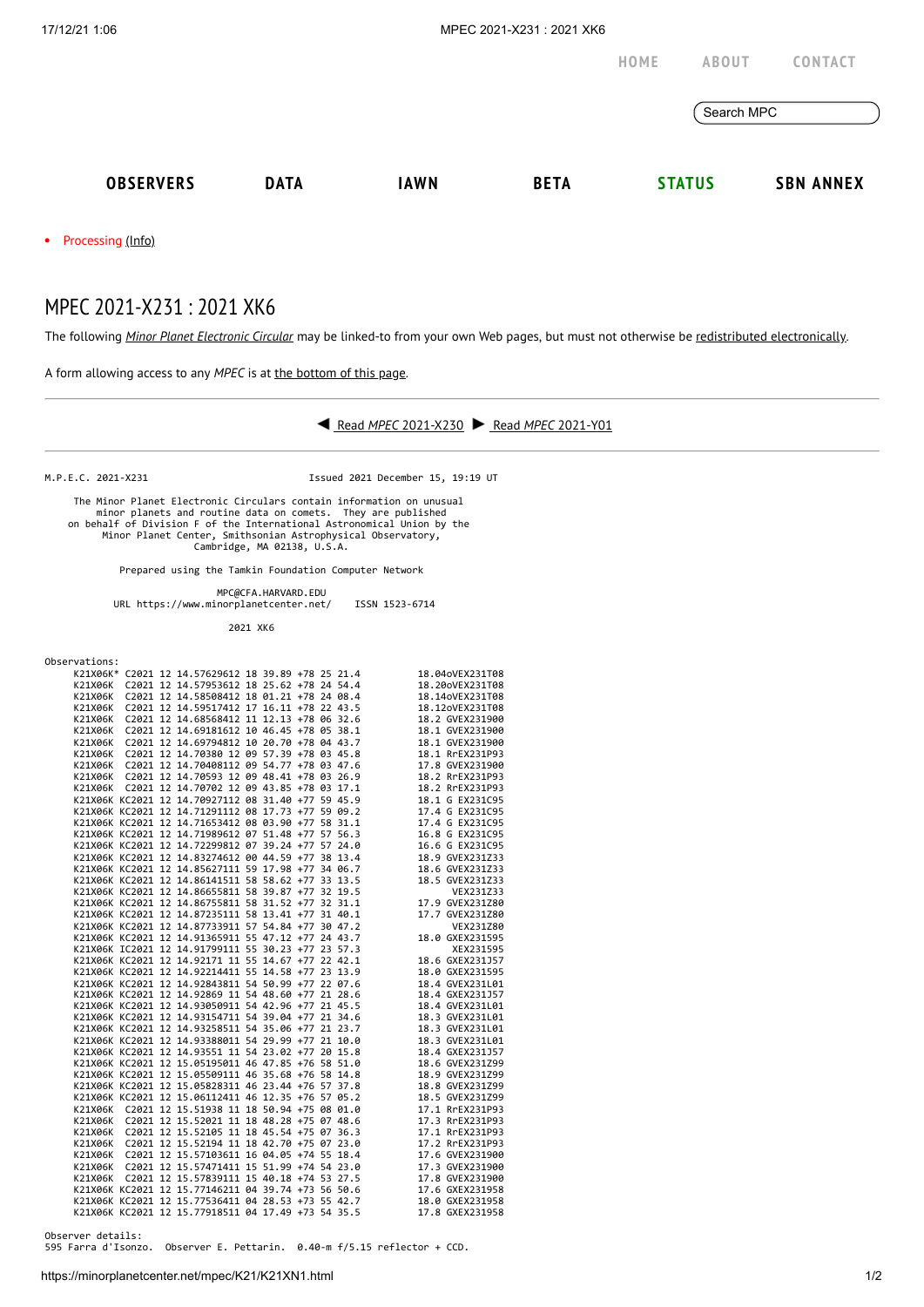|                  |             |             |             | HOME          | <b>ABOUT</b> | CONTACT          |
|------------------|-------------|-------------|-------------|---------------|--------------|------------------|
|                  |             |             |             | Search MPC    |              |                  |
| <b>OBSERVERS</b> | <b>DATA</b> | <b>IAWN</b> | <b>BETA</b> | <b>STATUS</b> |              | <b>SBN ANNEX</b> |
|                  |             |             |             |               |              |                  |

• Processing [\(Info\)](https://minorplanetcenter.net/iau/info/MPCOpStatus.html)

## MPEC 2021-X231 : 2021 XK6

The following *Minor Planet [Electronic](https://minorplanetcenter.net/iau/services/MPEC.html) Circular* may be linked-to from your own Web pages, but must not otherwise be redistributed [electronically](https://minorplanetcenter.net/iau/WWWPolicy.html).

A form allowing access to any *MPEC* is at the [bottom](https://minorplanetcenter.net/mpec/K19/K21XN1.html#form) of this page.



M.P.E.C. 2021-X231 Issued 2021 December 15, 19:19 UT

 The Minor Planet Electronic Circulars contain information on unusual minor planets and routine data on comets. They are published<br>on behalf of Division F of the International Astronomical Union by the<br>Minor Planet Center, Smithsonian Astrophysical Observatory,<br>Cambridge, MA 02138, U.S.A.

Prepared using the Tamkin Foundation Computer Network

 MPC@CFA.HARVARD.EDU URL https://www.minorplanetcenter.net/ ISSN 1523-6714

2021 XK6

| Observations: |  |
|---------------|--|
|               |  |

|         |  | K21X06K* C2021 12 14.57629612 18 39.89 +78 25 21.4 |  |  | 18.04oVEX231T08 |
|---------|--|----------------------------------------------------|--|--|-----------------|
| K21X06K |  | C2021 12 14.57953612 18 25.62 +78 24 54.4          |  |  | 18.20oVEX231T08 |
| K21X06K |  | C2021 12 14.58508412 18 01.21 +78 24 08.4          |  |  | 18.14oVEX231T08 |
|         |  | K21X06K C2021 12 14.59517412 17 16.11 +78 22 43.5  |  |  | 18.12oVEX231T08 |
| K21X06K |  | C2021 12 14.68568412 11 12.13 +78 06 32.6          |  |  | 18.2 GVEX231900 |
|         |  | K21X06K C2021 12 14.69181612 10 46.45 +78 05 38.1  |  |  | 18.1 GVEX231900 |
| K21X06K |  | C2021 12 14.69794812 10 20.70 +78 04 43.7          |  |  | 18.1 GVEX231900 |
|         |  | K21X06K C2021 12 14.70380 12 09 57.39 +78 03 45.8  |  |  | 18.1 RrEX231P93 |
|         |  | K21X06K C2021 12 14.70408112 09 54.77 +78 03 47.6  |  |  | 17.8 GVEX231900 |
|         |  | K21X06K C2021 12 14.70593 12 09 48.41 +78 03 26.9  |  |  |                 |
|         |  |                                                    |  |  | 18.2 RrEX231P93 |
|         |  | K21X06K C2021 12 14.70702 12 09 43.85 +78 03 17.1  |  |  | 18.2 RrEX231P93 |
|         |  | K21X06K KC2021 12 14.70927112 08 31.40 +77 59 45.9 |  |  | 18.1 G EX231C95 |
|         |  | K21X06K KC2021 12 14.71291112 08 17.73 +77 59 09.2 |  |  | 17.4 G EX231C95 |
|         |  | K21X06K KC2021 12 14.71653412 08 03.90 +77 58 31.1 |  |  | 17.4 G EX231C95 |
|         |  | K21X06K KC2021 12 14.71989612 07 51.48 +77 57 56.3 |  |  | 16.8 G EX231C95 |
|         |  | K21X06K KC2021 12 14.72299812 07 39.24 +77 57 24.0 |  |  | 16.6 G EX231C95 |
|         |  | K21X06K KC2021 12 14.83274612 00 44.59 +77 38 13.4 |  |  | 18.9 GVEX231Z33 |
|         |  | K21X06K KC2021 12 14.85627111 59 17.98 +77 34 06.7 |  |  | 18.6 GVEX231Z33 |
|         |  | K21X06K KC2021 12 14.86141511 58 58.62 +77 33 13.5 |  |  | 18.5 GVEX231Z33 |
|         |  | K21X06K KC2021 12 14.86655811 58 39.87 +77 32 19.5 |  |  | VEX231Z33       |
|         |  | K21X06K KC2021 12 14.86755811 58 31.52 +77 32 31.1 |  |  | 17.9 GVEX231Z80 |
|         |  | K21X06K KC2021 12 14.87235111 58 13.41 +77 31 40.1 |  |  | 17.7 GVEX231Z80 |
|         |  | K21X06K KC2021 12 14.87733911 57 54.84 +77 30 47.2 |  |  | VEX231Z80       |
|         |  | K21X06K KC2021 12 14.91365911 55 47.12 +77 24 43.7 |  |  | 18.0 GXEX231595 |
|         |  | K21X06K IC2021 12 14.91799111 55 30.23 +77 23 57.3 |  |  | XEX231595       |
|         |  | K21X06K KC2021 12 14.92171 11 55 14.67 +77 22 42.1 |  |  | 18.6 GXEX231J57 |
|         |  | K21X06K KC2021 12 14.92214411 55 14.58 +77 23 13.9 |  |  | 18.0 GXEX231595 |
|         |  |                                                    |  |  |                 |
|         |  | K21X06K KC2021 12 14.92843811 54 50.99 +77 22 07.6 |  |  | 18.4 GVEX231L01 |
|         |  | K21X06K KC2021 12 14.92869 11 54 48.60 +77 21 28.6 |  |  | 18.4 GXEX231J57 |
|         |  | K21X06K KC2021 12 14.93050911 54 42.96 +77 21 45.5 |  |  | 18.4 GVEX231L01 |
|         |  | K21X06K KC2021 12 14.93154711 54 39.04 +77 21 34.6 |  |  | 18.3 GVEX231L01 |
|         |  | K21X06K KC2021 12 14.93258511 54 35.06 +77 21 23.7 |  |  | 18.3 GVEX231L01 |
|         |  | K21X06K KC2021 12 14.93388011 54 29.99 +77 21 10.0 |  |  | 18.3 GVEX231L01 |
|         |  | K21X06K KC2021 12 14.93551 11 54 23.02 +77 20 15.8 |  |  | 18.4 GXEX231J57 |
|         |  | K21X06K KC2021 12 15.05195011 46 47.85 +76 58 51.0 |  |  | 18.6 GVEX231Z99 |
|         |  | K21X06K KC2021 12 15.05509111 46 35.68 +76 58 14.8 |  |  | 18.9 GVEX231Z99 |
|         |  | K21X06K KC2021 12 15.05828311 46 23.44 +76 57 37.8 |  |  | 18.8 GVEX231Z99 |
|         |  | K21X06K KC2021 12 15.06112411 46 12.35 +76 57 05.2 |  |  | 18.5 GVEX231Z99 |
|         |  | K21X06K C2021 12 15.51938 11 18 50.94 +75 08 01.0  |  |  | 17.1 RrEX231P93 |
|         |  | K21X06K C2021 12 15.52021 11 18 48.28 +75 07 48.6  |  |  | 17.3 RrEX231P93 |
|         |  | K21X06K C2021 12 15.52105 11 18 45.54 +75 07 36.3  |  |  | 17.1 RrEX231P93 |
|         |  | K21X06K C2021 12 15.52194 11 18 42.70 +75 07 23.0  |  |  | 17.2 RrEX231P93 |
|         |  | K21X06K C2021 12 15.57103611 16 04.05 +74 55 18.4  |  |  | 17.6 GVEX231900 |
|         |  | K21X06K C2021 12 15.57471411 15 51.99 +74 54 23.0  |  |  | 17.3 GVEX231900 |
|         |  | K21X06K C2021 12 15.57839111 15 40.18 +74 53 27.5  |  |  | 17.8 GVEX231900 |
|         |  | K21X06K KC2021 12 15.77146211 04 39.74 +73 56 50.6 |  |  |                 |
|         |  |                                                    |  |  | 17.6 GXEX231958 |
|         |  | K21X06K KC2021 12 15.77536411 04 28.53 +73 55 42.7 |  |  | 18.0 GXEX231958 |
|         |  | K21X06K KC2021 12 15.77918511 04 17.49 +73 54 35.5 |  |  | 17.8 GXEX231958 |

Observer details:

595 Farra d'Isonzo. Observer E. Pettarin. 0.40-m f/5.15 reflector + CCD.